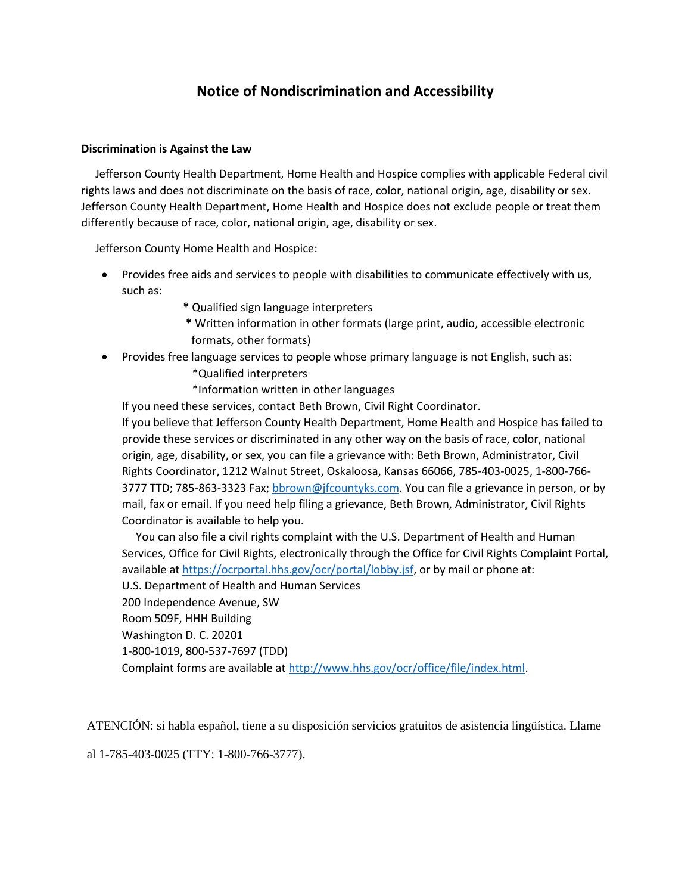## **Notice of Nondiscrimination and Accessibility**

## **Discrimination is Against the Law**

 Jefferson County Health Department, Home Health and Hospice complies with applicable Federal civil rights laws and does not discriminate on the basis of race, color, national origin, age, disability or sex. Jefferson County Health Department, Home Health and Hospice does not exclude people or treat them differently because of race, color, national origin, age, disability or sex.

Jefferson County Home Health and Hospice:

- Provides free aids and services to people with disabilities to communicate effectively with us, such as:
	- **\*** Qualified sign language interpreters
	- **\*** Written information in other formats (large print, audio, accessible electronic formats, other formats)
- Provides free language services to people whose primary language is not English, such as: \*Qualified interpreters

\*Information written in other languages

If you need these services, contact Beth Brown, Civil Right Coordinator.

If you believe that Jefferson County Health Department, Home Health and Hospice has failed to provide these services or discriminated in any other way on the basis of race, color, national origin, age, disability, or sex, you can file a grievance with: Beth Brown, Administrator, Civil Rights Coordinator, 1212 Walnut Street, Oskaloosa, Kansas 66066, 785-403-0025, 1-800-766 3777 TTD; 785-863-3323 Fax; [bbrown@jfcountyks.com.](mailto:bbrown@jfcountyks.com) You can file a grievance in person, or by mail, fax or email. If you need help filing a grievance, Beth Brown, Administrator, Civil Rights Coordinator is available to help you.

 You can also file a civil rights complaint with the U.S. Department of Health and Human Services, Office for Civil Rights, electronically through the Office for Civil Rights Complaint Portal, available a[t https://ocrportal.hhs.gov/ocr/portal/lobby.jsf,](https://ocrportal.hhs.gov/ocr/portal/lobby.jsf) or by mail or phone at: U.S. Department of Health and Human Services 200 Independence Avenue, SW Room 509F, HHH Building Washington D. C. 20201 1-800-1019, 800-537-7697 (TDD) Complaint forms are available a[t http://www.hhs.gov/ocr/office/file/index.html.](http://www.hhs.gov/ocr/office/file/index.html)

ATENCIÓN: si habla español, tiene a su disposición servicios gratuitos de asistencia lingüística. Llame

al 1-785-403-0025 (TTY: 1-800-766-3777).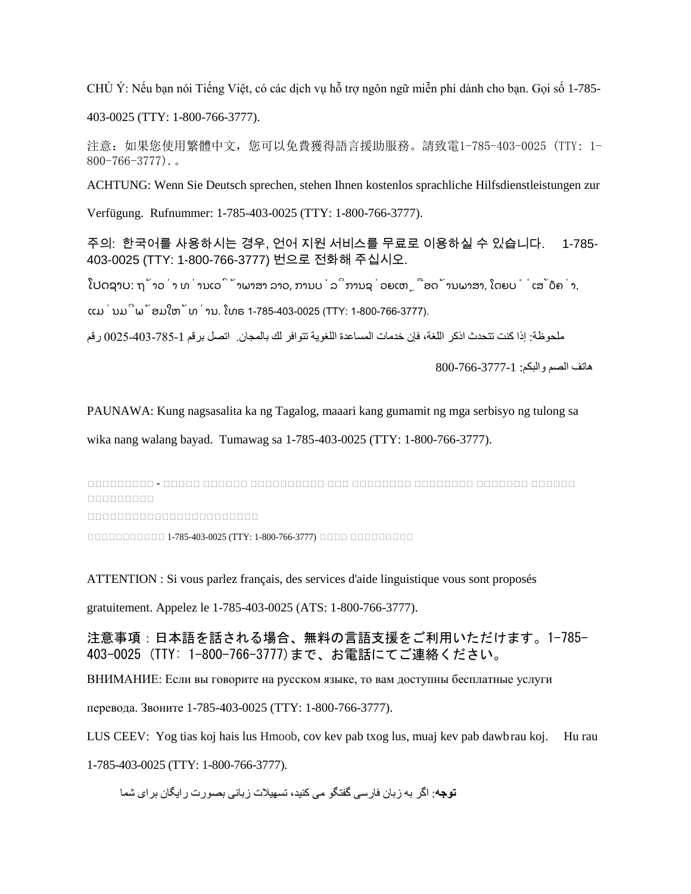CHÚ Ý: Nếu bạn nói Tiếng Việt, có các dịch vụ hỗ trợ ngôn ngữ miễn phí dành cho bạn. Gọi số 1-785-

403-0025 (TTY: 1-800-766-3777).

注意:如果您使用繁體中文,您可以免費獲得語言援助服務。請致電1-785-403-0025 (TTY: 1- 800-766-3777).。

ACHTUNG: Wenn Sie Deutsch sprechen, stehen Ihnen kostenlos sprachliche Hilfsdienstleistungen zur

Verfügung. Rufnummer: 1-785-403-0025 (TTY: 1-800-766-3777).

주의: 한국어를 사용하시는 경우, 언어 지원 서비스를 무료로 이용하실 수 있습니다. 1-785- 403-0025 (TTY: 1-800-766-3777) 번으로 전화해 주십시오.

ໂປດຊາບ: ຖ້າວ່າ ທ່ານເວົ້າພາສາ ລາວ, ການບໍລິການຊ່ວຍເຫຼືອດ້ານພາສາ, ໂດຍບໍ່ເສັຽຄ່າ,

ແມ່ນມີພ້ອມໃຫ້ທ່ານ. ໂທຣ 1-785-403-0025 (TTY: 1-800-766-3777).

ملحوظة: إذا كنت تتحدث اذكر اللغة، فإن خدمات المساعدة اللغویة تتوافر لك بالمجان. اتصل برقم 0025-403-785-1 رقم

ھاتف الصم والبكم: 800-766-3777-1

PAUNAWA: Kung nagsasalita ka ng Tagalog, maaari kang gumamit ng mga serbisyo ng tulong sa

wika nang walang bayad. Tumawag sa 1-785-403-0025 (TTY: 1-800-766-3777).

 $\Box$  သညသသသသသသသသသသသသသသသသသသ $\Box$ သည $\Box$ သညသညသသသသသ $\Box$ သညသည သသသသသသသသသ

 $\cap$ 

သသသသသသသသသသသ 1-785-403-0025 (TTY: 1-800-766-3777) သသသသ သသသသသသသသသ

ATTENTION : Si vous parlez français, des services d'aide linguistique vous sont proposés

gratuitement. Appelez le 1-785-403-0025 (ATS: 1-800-766-3777).

注意事項:日本語を話される場合、無料の言語支援をご利用いただけます。1-785- 403-0025 (TTY: 1-800-766-3777)まで、お電話にてご連絡ください。

ВНИМАНИЕ: Если вы говорите на русском языке, то вам доступны бесплатные услуги

перевода. Звоните 1-785-403-0025 (TTY: 1-800-766-3777).

LUS CEEV: Yog tias koj hais lus Hmoob, cov kev pab txog lus, muaj kev pab dawbrau koj. Hu rau

1-785-403-0025 (TTY: 1-800-766-3777).

**توجھ**: اگر بھ زبان فارسی گفتگو می کنید، تسھیلات زبانی بصورت رایگان برای شما